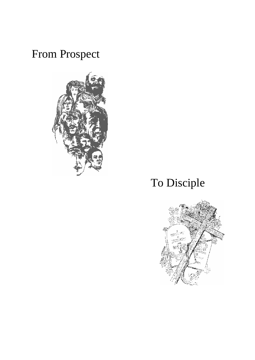# From Prospect



# To Disciple

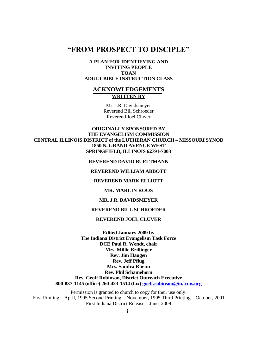## **―FROM PROSPECT TO DISCIPLE‖**

#### **A PLAN FOR IDENTIFYING AND INVITING PEOPLE TOAN ADULT BIBLE INSTRUCTION CLASS**

#### **ACKNOWLEDGEMENTS WRITTEN BY**

Mr. J.R. Davidsmeyer Reverend Bill Schroeder Reverend Joel Cluver

#### **ORIGINALLY SPONSORED BY THE EVANGELISM COMMISSION CENTRAL ILLINOIS DISTRICT of the LUTHERAN CHURCH – MISSOURI SYNOD 1850 N. GRAND AVENUE WEST SPRINGFIELD, ILLINOIS 62791-7003**

#### **REVEREND DAVID BUELTMANN**

#### **REVEREND WILLIAM ABBOTT**

#### **REVEREND MARK ELLIOTT**

#### **MR. MARLIN ROOS**

#### **MR. J.R. DAVIDSMEYER**

#### **REVEREND BILL SCHROEDER**

#### **REVEREND JOEL CLUVER**

**Edited January 2009 by The Indiana District Evangelism Task Force DCE Paul R. Wendt, chair Mrs. Millie Brillinger Rev. Jim Haugen Rev. Jeff Pflug Mrs. Sandra Rheim Rev. Phil Schamehorn Rev. Geoff Robinson, District Outreach Executive 800-837-1145 (office) 260-423-1514 (fax) [goeff.robinson@in.lcms.org](mailto:goeff.robinson@in.lcms.org)**

Permission is granted to church to copy for their use only. First Printing – April, 1995 Second Printing – November, 1995 Third Printing – October, 2001 First Indiana District Release – June, 2009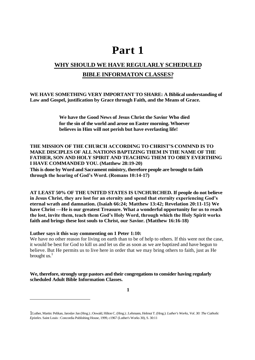## **Part 1**

## **WHY SHOULD WE HAVE REGULARLY SCHEDULED BIBLE INFORMATON CLASSES?**

#### **WE HAVE SOMETHING VERY IMPORTANT TO SHARE: A Biblical understanding of Law and Gospel, justification by Grace through Faith, and the Means of Grace.**

**We have the Good News of Jesus Christ the Savior Who died for the sin of the world and arose on Easter morning. Whoever believes in Him will not perish but have everlasting life!**

## **THE MISSION OF THE CHURCH ACCORDING TO CHRIST'S COMMND IS TO MAKE DISCIPLES OF ALL NATIONS BAPTIZING THEM IN THE NAME OF THE FATHER, SON AND HOLY SPIRIT AND TEACHING THEM TO OBEY EVERTHING I HAVE COMMANDED YOU. (Matthew 28:19-20)**

**This is done by Word and Sacrament ministry, therefore people are brought to faith through the hearing of God's Word. (Romans 10:14-17)**

**AT LEAST 50% OF THE UNITED STATES IS UNCHURCHED. If people do not believe in Jesus Christ, they are lost for an eternity and spend that eternity experiencing God's eternal wrath and damnation. (Isaiah 66:24; Matthew 13:42; Revelation 20:11-15) We have Christ —He is our greatest Treasure. What a wonderful opportunity for us to reach the lost, invite them, teach them God's Holy Word, through which the Holy Spirit works faith and brings these lost souls to Christ, our Savior. (Matthew 16:16-18)**

#### **Luther says it this way commenting on 1 Peter 1:10:**

We have no other reason for living on earth than to be of help to others. If this were not the case, it would be best for God to kill us and let us die as soon as we are baptized and have begun to believe. But He permits us to live here in order that we may bring others to faith, just as He brought us. $<sup>1</sup>$ </sup>

#### **We, therefore, strongly urge pastors and their congregations to consider having regularly scheduled Adult Bible Information Classes.**

**1**

<sup>1</sup>Luther, Martin: Pelikan, Jaroslav Jan (Hrsg.) ; Oswald, Hilton C. (Hrsg.) ; Lehmann, Helmut T. (Hrsg.): *Luther's Works, Vol. 30: The Catholic Epistles*. Saint Louis : Concordia Publishing House, 1999, c1967 (Luther's Works 30), S. 30:11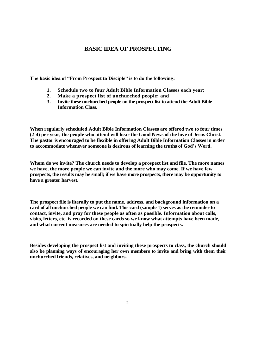#### **BASIC IDEA OF PROSPECTING**

The basic idea of "From Prospect to Disciple" is to do the following:

- **1. Schedule two to four Adult Bible Information Classes each year;**
- **2. Make a prospect list of unchurched people; and**
- **3. Invite these unchurched people on the prospect list to attend the Adult Bible Information Class.**

**When regularly scheduled Adult Bible Information Classes are offered two to four times (2-4) per year, the people who attend will hear the Good News of the love of Jesus Christ. The pastor is encouraged to be flexible in offering Adult Bible Information Classes in order to accommodate whenever someone is desirous of learning the truths of God's Word.**

**Whom do we invite? The church needs to develop a prospect list and file. The more names we have, the more people we can invite and the more who may come. If we have few prospects, the results may be small; if we have more prospects, there may be opportunity to have a greater harvest.**

**The prospect file is literally to put the name, address, and background information on a card of all unchurched people we can find. This card (sample 1) serves as the reminder to contact, invite, and pray for these people as often as possible. Information about calls, visits, letters, etc. is recorded on these cards so we know what attempts have been made, and what current measures are needed to spiritually help the prospects.**

**Besides developing the prospect list and inviting these prospects to class, the church should also be planning ways of encouraging her own members to invite and bring with them their unchurched friends, relatives, and neighbors.**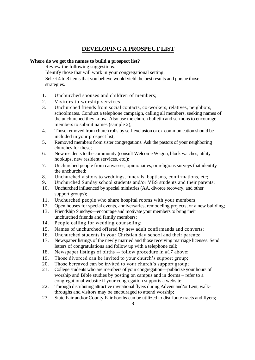## **DEVELOPING A PROSPECT LIST**

#### **Where do we get the names to build a prospect list?**

Review the following suggestions.

Identify those that will work in your congregational setting. Select 4 to 8 items that you believe would yield the best results and pursue those strategies.

- 1. Unchurched spouses and children of members;
- 2. Visitors to worship services;
- 3. Unchurched friends from social contacts, co-workers, relatives, neighbors, schoolmates. Conduct a telephone campaign, calling all members, seeking names of the unchurched they know. Also use the church bulletin and sermons to encourage members to submit names (sample 2);
- 4. Those removed from church rolls by self-exclusion or ex-communication should be included in your prospect list;
- 5. Removed members from sister congregations. Ask the pastors of your neighboring churches for these;
- 6. New residents to the community (consult Welcome Wagon, block watches, utility hookups, new resident services, etc.);
- 7. Unchurched people from canvasses, opinionaires, or religious surveys that identify the unchurched;
- 8. Unchurched visitors to weddings, funerals, baptisms, confirmations, etc;
- 9. Unchurched Sunday school students and/or VBS students and their parents;
- 10. Unchurched influenced by special ministries (AA, divorce recovery, and other support groups);
- 11. Unchurched people who share hospital rooms with your members;
- 12. Open houses for special events, anniversaries, remodeling projects, or a new building;
- 13. Friendship Sundays—encourage and motivate your members to bring their unchurched friends and family members;
- 14. People calling for wedding counseling;
- 15. Names of unchurched offered by new adult confirmands and converts;
- 16. Unchurched students in your Christian day school and their parents;
- 17. Newspaper listings of the newly married and those receiving marriage licenses. Send letters of congratulations and follow up with a telephone call;
- 18. Newspaper listings of births -- follow procedure in #17 above;
- 19. Those divorced can be invited to your church's support group;
- 20. Those bereaved can be invited to your church's support group;
- 21. College students who are members of your congregation—publicize your hours of worship and Bible studies by posting on campus and in dorms – refer to a congregational website if your congregation supports a website;
- 22. Through distributing attractive invitational flyers during Advent and/or Lent, walkthroughs and visitors may be encouraged to attend worship;
- 23. State Fair and/or County Fair booths can be utilized to distribute tracts and flyers;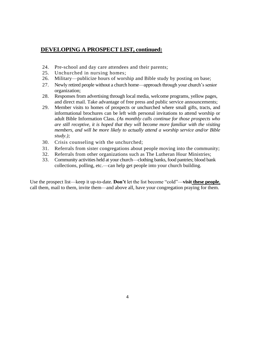## **DEVELOPING A PROSPECT LIST, continued:**

- 24. Pre-school and day care attendees and their parents;
- 25. Unchurched in nursing homes;
- 26. Military—publicize hours of worship and Bible study by posting on base;
- 27. Newly retired people without a church home—approach through your church's senior organization;
- 28. Responses from advertising through local media, welcome programs, yellow pages, and direct mail. Take advantage of free press and public service announcements;
- 29. Member visits to homes of prospects or unchurched where small gifts, tracts, and informational brochures can be left with personal invitations to attend worship or adult Bible Information Class. *(As monthly calls continue for those prospects who are still receptive, it is hoped that they will become more familiar with the visiting members, and will be more likely to actually attend a worship service and/or Bible study.);*
- 30. Crisis counseling with the unchurched;
- 31. Referrals from sister congregations about people moving into the community;
- 32. Referrals from other organizations such as The Lutheran Hour Ministries;
- 33. Community activities held at your church—clothing banks, food pantries; blood bank collections, polling, etc.—can help get people into your church building.

Use the prospect list—keep it up-to-date. **Don't** let the list become "cold"—**visit these people**, call them, mail to them, invite them—and above all, have your congregation praying for them.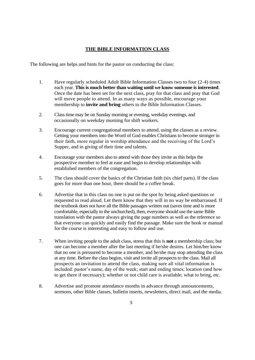#### **THE BIBLE INFORMATION CLASS**

The following are helps and hints for the pastor on conducting the class:

- 1. Have regularly scheduled Adult Bible Information Classes two to four (2-4) times each year. **This is much better than waiting until we know someone is interested**. Once the date has been set for the next class, pray for that class and pray that God will move people to attend. In as many ways as possible, encourage your membership to **invite and bring** others to the Bible Information Classes.
- 2. Class time may be on Sunday morning or evening, weekday evenings, and occasionally on weekday morning for shift workers.
- 3. Encourage current congregational members to attend, using the classes as a review. Getting your members into the Word of God enables Christians to become stronger in their faith, more regular in worship attendance and the receiving of the Lord's Supper, and in giving of their time and talents.
- 4. Encourage your members also to attend with those they invite as this helps the prospective member to feel at ease and begin to develop relationships with established members of the congregation.
- 5. The class should cover the basics of the Christian faith (six chief parts). If the class goes for more than one hour, there should be a coffee break.
- 6. Advertise that in this class no one is put on the spot by being asked questions or requested to read aloud. Let them know that they will in no way be embarrassed. If the textbook does not have all the Bible passages written out (saves time and is more comfortable, especially to the unchurched), then, everyone should use the same Bible translation with the pastor always giving the page numbers as well as the reference so that everyone can quickly and easily find the passage. Make sure the book or manual for the course is interesting and easy to follow and use.
- 7. When inviting people to the adult class, stress that this is **not** a membership class; but one can become a member after the last meeting if he/she desires. Let him/her know that no one is pressured to become a member, and he/she may stop attending the class at any time. Before the class begins, visit and invite all prospects to the class. Mail all prospects an invitation to attend the class, making sure all vital information is included: pastor's name, day of the week; start and ending times; location (and how to get there if necessary); whether or not child care is available; what to bring, etc.
- 8. Advertise and promote attendance months in advance through announcements, sermons, other Bible classes, bulletin inserts, newsletters, direct mail, and the media.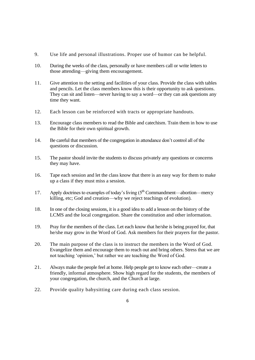- 9. Use life and personal illustrations. Proper use of humor can be helpful.
- 10. During the weeks of the class, personally or have members call or write letters to those attending—giving them encouragement.
- 11. Give attention to the setting and facilities of your class. Provide the class with tables and pencils. Let the class members know this is their opportunity to ask questions. They can sit and listen—never having to say a word—or they can ask questions any time they want.
- 12. Each lesson can be reinforced with tracts or appropriate handouts.
- 13. Encourage class members to read the Bible and catechism. Train them in how to use the Bible for their own spiritual growth.
- 14. Be careful that members of the congregation in attendance don't control all of the questions or discussion.
- 15. The pastor should invite the students to discuss privately any questions or concerns they may have.
- 16. Tape each session and let the class know that there is an easy way for them to make up a class if they must miss a session.
- 17. Apply doctrines to examples of today's living  $(5<sup>th</sup>$  Commandment—abortion—mercy killing, etc; God and creation—why we reject teachings of evolution).
- 18. In one of the closing sessions, it is a good idea to add a lesson on the history of the LCMS and the local congregation. Share the constitution and other information.
- 19. Pray for the members of the class. Let each know that he/she is being prayed for, that he/she may grow in the Word of God. Ask members for their prayers for the pastor.
- 20. The main purpose of the class is to instruct the members in the Word of God. Evangelize them and encourage them to reach out and bring others. Stress that we are not teaching 'opinion,' but rather we are teaching the Word of God.
- 21. Always make the people feel at home. Help people get to know each other—create a friendly, informal atmosphere. Show high regard for the students, the members of your congregation, the church, and the Church at large.
- 22. Provide quality babysitting care during each class session.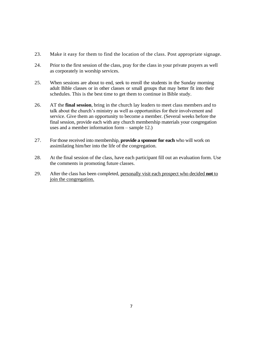- 23. Make it easy for them to find the location of the class. Post appropriate signage.
- 24. Prior to the first session of the class, pray for the class in your private prayers as well as corporately in worship services.
- 25. When sessions are about to end, seek to enroll the students in the Sunday morning adult Bible classes or in other classes or small groups that may better fit into their schedules. This is the best time to get them to continue in Bible study.
- 26. AT the **final session**, bring in the church lay leaders to meet class members and to talk about the church's ministry as well as opportunities for their involvement and service. Give them an opportunity to become a member. (Several weeks before the final session, provide each with any church membership materials your congregation uses and a member information form – sample 12.)
- 27. For those received into membership, **provide a sponsor for each** who will work on assimilating him/her into the life of the congregation.
- 28. At the final session of the class, have each participant fill out an evaluation form. Use the comments in promoting future classes.
- 29. After the class has been completed, personally visit each prospect who decided **not** to join the congregation.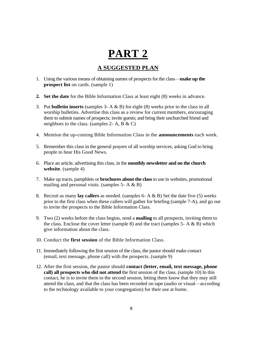## **PART 2**

## **A SUGGESTED PLAN**

- 1. Using the various means of obtaining names of prospects for the class—**make up the prospect list** on cards. (sample 1)
- **2. Set the date** for the Bible Information Class at least eight (8) weeks in advance.
- 3. Put **bulletin inserts** (samples 3- A & B) for eight (8) weeks prior to the class in all worship bulletins. Advertise this class as a review for current members, encouraging them to submit names of prospects; invite guests; and bring their unchurched friend and neighbors to the class. (samples 2- A, B  $\&$  C)
- 4. Mention the up-coming Bible Information Class in the **announcements** each week.
- 5. Remember this class in the general prayers of all worship services, asking God to bring people to hear His Good News.
- 6. Place an article, advertising this class, in the **monthly newsletter and on the church website**. (sample 4)
- 7. Make up tracts, pamphlets or **brochures about the class** to use in websites, promotional mailing and personal visits. (samples  $5 - A \& B$ )
- 8. Recruit as many **lay callers** as needed. (samples 6- A & B) Set the date five (5) weeks prior to the first class when these callers will gather for briefing (sample 7-A), and go out to invite the prospects to the Bible Information Class.
- 9. Two (2) weeks before the class begins, send a **mailing** to all prospects, inviting them to the class. Enclose the cover letter (sample 8) and the tract (samples  $5 - A \& B$ ) which give information about the class.
- 10. Conduct the **first session** of the Bible Information Class.
- 11. Immediately following the first session of the class, the pastor should make contact (email, text message, phone call) with the prospects. (sample 9)
- 12. After the first session, the pastor should **contact (letter, email, text message, phone call) all prospects who did not attend** the first session of the class. (sample 10) In this contact, he is to invite them to the second session, letting them know that they may still attend the class, and that the class has been recorded on tape (audio or visual—according to the technology available to your congregation) for their use at home.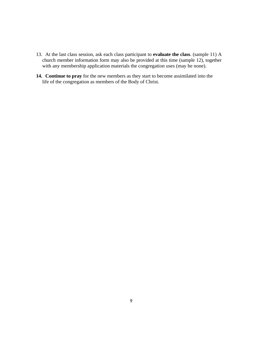- 13. At the last class session, ask each class participant to **evaluate the class**. (sample 11) A church member information form may also be provided at this time (sample 12), together with any membership application materials the congregation uses (may be none).
- **14. Continue to pray** for the new members as they start to become assimilated into the life of the congregation as members of the Body of Christ.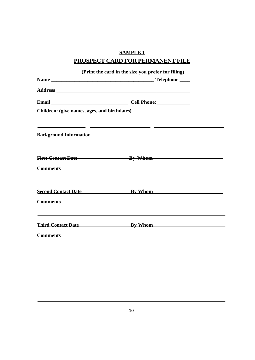## **SAMPLE 1**

## **PROSPECT CARD FOR PERMANENT FILE**

|                                              | (Print the card in the size you prefer for filing)                                                                   |  |
|----------------------------------------------|----------------------------------------------------------------------------------------------------------------------|--|
|                                              |                                                                                                                      |  |
|                                              |                                                                                                                      |  |
|                                              |                                                                                                                      |  |
| Children: (give names, ages, and birthdates) |                                                                                                                      |  |
| <b>Background Information</b>                | <u> 1989 - Johann Harry Harry Barn, amerikan bisa di James Barn, pada 1989 - Johann Harry Barn, amerikan bisa di</u> |  |
|                                              | First Contact Date Bate By Whom                                                                                      |  |
| <b>Comments</b>                              |                                                                                                                      |  |
|                                              | Second Contact Date By Whom By Whom                                                                                  |  |
| <b>Comments</b>                              |                                                                                                                      |  |
|                                              | Third Contact Date By Whom By Whom                                                                                   |  |
| <b>Comments</b>                              |                                                                                                                      |  |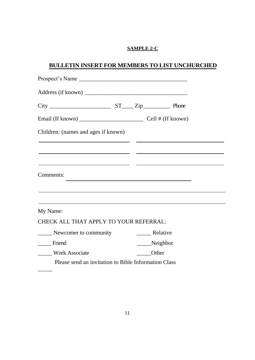#### **SAMPLE 2-C**

## **BULLETIN INSERT FOR MEMBERS TO LIST UNCHURCHED**

| Children: (names and ages if known)                      |              |                                                                                                                  |  |
|----------------------------------------------------------|--------------|------------------------------------------------------------------------------------------------------------------|--|
| <u> 1980 - Jan Stein, amerikansk politiker (d. 1980)</u> |              |                                                                                                                  |  |
|                                                          |              |                                                                                                                  |  |
| Comments:                                                |              | and the control of the control of the control of the control of the control of the control of the control of the |  |
|                                                          |              |                                                                                                                  |  |
|                                                          |              |                                                                                                                  |  |
| My Name:                                                 |              |                                                                                                                  |  |
| CHECK ALL THAT APPLY TO YOUR REFERRAL:                   |              |                                                                                                                  |  |
| Newcomer to community                                    |              | ________ Relative                                                                                                |  |
| Friend                                                   |              | ____Neighbor                                                                                                     |  |
| Work Associate                                           | <b>Other</b> |                                                                                                                  |  |
| Please send an invitation to Bible Information Class     |              |                                                                                                                  |  |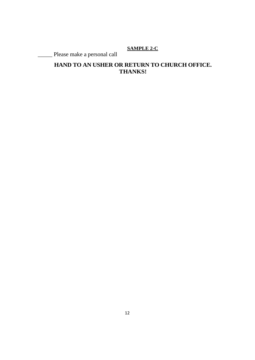## **SAMPLE 2-C**

\_\_\_\_\_ Please make a personal call

## **HAND TO AN USHER OR RETURN TO CHURCH OFFICE. THANKS!**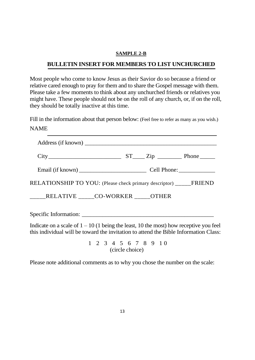#### **SAMPLE 2-B**

## **BULLETIN INSERT FOR MEMBERS TO LIST UNCHURCHED**

Most people who come to know Jesus as their Savior do so because a friend or relative cared enough to pray for them and to share the Gospel message with them. Please take a few moments to think about any unchurched friends or relatives you might have. These people should not be on the roll of any church, or, if on the roll, they should be totally inactive at this time.

Fill in the information about that person below: (Feel free to refer as many as you wish.) NAME

| RELATIONSHIP TO YOU: (Please check primary descriptor) ______FRIEND |  |  |
|---------------------------------------------------------------------|--|--|
| _____RELATIVE _____CO-WORKER _____OTHER                             |  |  |
|                                                                     |  |  |

Indicate on a scale of  $1 - 10$  (1 being the least, 10 the most) how receptive you feel this individual will be toward the invitation to attend the Bible Information Class:

> 1 2 3 4 5 6 7 8 9 1 0 (circle choice)

Please note additional comments as to why you chose the number on the scale: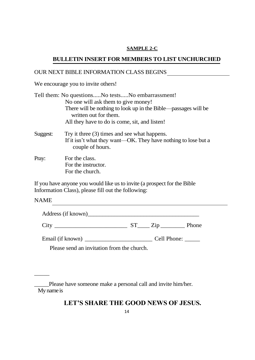#### **SAMPLE 2-C**

## **BULLETIN INSERT FOR MEMBERS TO LIST UNCHURCHED**

### OUR NEXT BIBLE INFORMATION CLASS BEGINS

We encourage you to invite others!

|          | Tell them: No questionsNo testsNo embarrassment!                                                                                   |
|----------|------------------------------------------------------------------------------------------------------------------------------------|
|          | No one will ask them to give money!                                                                                                |
|          | There will be nothing to look up in the Bible—passages will be<br>written out for them.                                            |
|          | All they have to do is come, sit, and listen!                                                                                      |
| Suggest: | Try it three (3) times and see what happens.<br>If it isn't what they want—OK. They have nothing to lose but a<br>couple of hours. |
| Pray:    | For the class.<br>For the instructor.<br>For the church.                                                                           |

If you have anyone you would like us to invite (a prospect for the Bible Information Class), please fill out the following:

NAME

\_\_\_\_\_

| Address (if known) |  |  |
|--------------------|--|--|
|                    |  |  |

City \_\_\_\_\_\_\_\_\_\_\_\_\_\_\_\_\_\_\_\_\_\_\_\_ ST\_\_\_\_ Zip \_\_\_\_\_\_\_\_ Phone

Email (if known) \_\_\_\_\_\_\_\_\_\_\_\_\_\_\_\_\_\_\_\_\_\_\_ Cell Phone: \_\_\_\_\_

Please send an invitation from the church.

## **LET'S SHARE THE GOOD NEWS OF JESUS.**

\_\_\_\_\_Please have someone make a personal call and invite him/her. My name is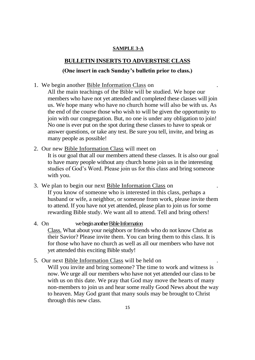## **BULLETIN INSERTS TO ADVERSTISE CLASS**

#### **(One insert in each Sunday's bulletin prior to class.)**

1. We begin another Bible Information Class on .

All the main teachings of the Bible will be studied. We hope our members who have not yet attended and completed these classes will join us. We hope many who have no church home will also be with us. As the end of the course those who wish to will be given the opportunity to join with our congregation. But, no one is under any obligation to join! No one is ever put on the spot during these classes to have to speak or answer questions, or take any test. Be sure you tell, invite, and bring as many people as possible!

2. Our new Bible Information Class will meet on

It is our goal that all our members attend these classes. It is also our goal to have many people without any church home join us in the interesting studies of God's Word. Please join us for this class and bring someone with you.

- 3. We plan to begin our next Bible Information Class on . If you know of someone who is interested in this class, perhaps a husband or wife, a neighbor, or someone from work, please invite them to attend. If you have not yet attended, please plan to join us for some rewarding Bible study. We want all to attend. Tell and bring others!
- 4. On we begin another Bible Information Class. What about your neighbors or friends who do not know Christ as their Savior? Please invite them. You can bring them to this class. It is for those who have no church as well as all our members who have not yet attended this exciting Bible study!
- 5. Our next Bible Information Class will be held on . Will you invite and bring someone? The time to work and witness is now. We urge all our members who have not yet attended our class to be with us on this date. We pray that God may move the hearts of many non-members to join us and hear some really Good News about the way to heaven. May God grant that many souls may be brought to Christ through this new class.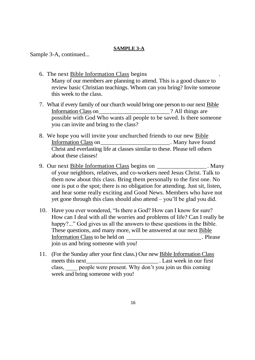Sample 3-A, continued...

- 6. The next Bible Information Class begins . Many of our members are planning to attend. This is a good chance to review basic Christian teachings. Whom can you bring? Invite someone this week to the class.
- 7. What if every family of our church would bring one person to our next Bible Information Class on  $\cdot$  2 All things are possible with God Who wants all people to be saved. Is there someone you can invite and bring to the class?
- 8. We hope you will invite your unchurched friends to our new Bible Information Class on The Contraction Class on the Many have found by Many have found Christ and everlasting life at classes similar to these. Please tell others about these classes!
- 9. Our next Bible Information Class begins on \_\_\_\_\_\_\_\_\_\_\_\_\_\_\_\_\_. Many of your neighbors, relatives, and co-workers need Jesus Christ. Talk to them now about this class. Bring them personally to the first one. No one is put o the spot; there is no obligation for attending. Just sit, listen, and hear some really exciting and Good News. Members who have not yet gone through this class should also attend – you'll be glad you did.
- 10. Have you ever wondered, "Is there a God? How can I know for sure? How can I deal with all the worries and problems of life? Can I really be happy?..." God gives us all the answers to these questions in the Bible. These questions, and many more, will be answered at our next Bible Information Class to be held on The Please join us and bring someone with you!
- 11. (For the Sunday after your first class.) Our new Bible Information Class meets this next\_\_\_\_\_\_\_\_\_\_\_\_\_\_\_\_\_\_\_\_\_\_\_\_\_ . Last week in our first class, \_\_\_\_ people were present. Why don't you join us this coming week and bring someone with you!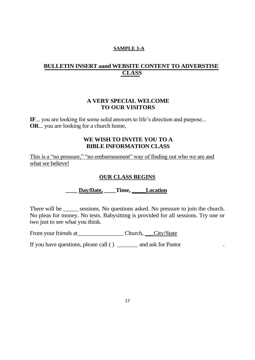## **BULLETIN INSERT aand WEBSITE CONTENT TO ADVERSTISE CLASS**

#### **A VERY SPECIAL WELCOME TO OUR VISITORS**

**IF**... you are looking for some solid answers to life's direction and purpose... **OR**... you are looking for a church home,

## **WE WISH TO INVITE YOU TO A BIBLE INFORMATION CLASS**

This is a "no pressure," "no embarrassment" way of finding out who we are and what we believe!

#### **OUR CLASS BEGINS**

## **\_\_\_\_ Day/Date, \_\_\_\_Time, \_\_\_\_\_Location**

There will be \_\_\_\_\_\_ sessions. No questions asked. No pressure to join the church. No pleas for money. No tests. Babysitting is provided for all sessions. Try one or two just to see what you think.

From your friends at Church, Church, City/State

If you have questions, please call ( ) \_\_\_\_\_\_\_\_ and ask for Pastor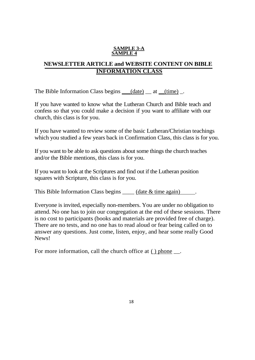#### **SAMPLE 3-A SAMPLE 4**

## **NEWSLETTER ARTICLE and WEBSITE CONTENT ON BIBLE INFORMATION CLASS**

The Bible Information Class begins  $\_\_\_({date})\_\_\atop$  at  $\_\_\{(time)\_\_\cdot$ 

If you have wanted to know what the Lutheran Church and Bible teach and confess so that you could make a decision if you want to affiliate with our church, this class is for you.

If you have wanted to review some of the basic Lutheran/Christian teachings which you studied a few years back in Confirmation Class, this class is for you.

If you want to be able to ask questions about some things the church teaches and/or the Bible mentions, this class is for you.

If you want to look at the Scriptures and find out if the Lutheran position squares with Scripture, this class is for you.

This Bible Information Class begins \_\_\_\_\_\_ (date & time again) .

Everyone is invited, especially non-members. You are under no obligation to attend. No one has to join our congregation at the end of these sessions. There is no cost to participants (books and materials are provided free of charge). There are no tests, and no one has to read aloud or fear being called on to answer any questions. Just come, listen, enjoy, and hear some really Good News!

For more information, call the church office at () phone  $\_\_$ .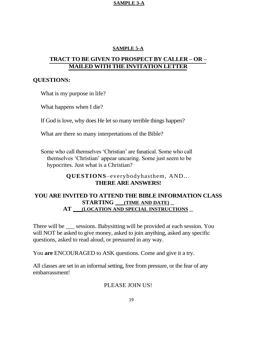#### **SAMPLE 5-A**

## **TRACT TO BE GIVEN TO PROSPECT BY CALLER – OR – MAILED WITH THE INVITATION LETTER**

#### **QUESTIONS:**

What is my purpose in life?

What happens when I die?

If God is love, why does He let so many terrible things happen?

What are there so many interpretations of the Bible?

Some who call themselves 'Christian' are fanatical. Some who call themselves ‗Christian' appear uncaring. Some just seem to be hypocrites. Just what is a Christian?

> **QUESTIONS**–everybodyhasthem, AND... **THERE ARE ANSWERS!**

## **YOU ARE INVITED TO ATTEND THE BIBLE INFORMATION CLASS STARTING \_\_\_(TIME AND DATE) \_\_ AT \_\_\_(LOCATION AND SPECIAL INSTRUCTIONS \_\_**

There will be sessions. Babysitting will be provided at each session. You will NOT be asked to give money, asked to join anything, asked any specific questions, asked to read aloud, or pressured in any way.

You **are** ENCOURAGED to ASK questions. Come and give it a try.

All classes are set in an informal setting, free from pressure, or the fear of any embarrassment!

## PLEASE JOIN US!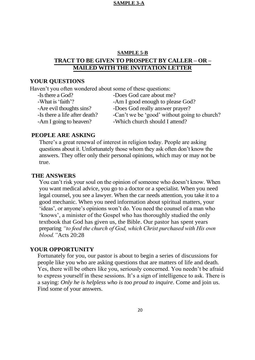## **SAMPLE 5-B TRACT TO BE GIVEN TO PROSPECT BY CALLER – OR – MAILED WITH THE INVITATION LETTER**

#### **YOUR QUESTIONS**

Haven't you often wondered about some of these questions:

| -Is there a God?              | -Does God care about me?                     |
|-------------------------------|----------------------------------------------|
| -What is 'faith'?             | -Am I good enough to please God?             |
| -Are evil thoughts sins?      | -Does God really answer prayer?              |
| -Is there a life after death? | -Can't we be 'good' without going to church? |
| -Am I going to heaven?        | -Which church should I attend?               |

#### **PEOPLE ARE ASKING**

There's a great renewal of interest in religion today. People are asking questions about it. Unfortunately those whom they ask often don't know the answers. They offer only their personal opinions, which may or may not be true.

#### **THE ANSWERS**

You can't risk your soul on the opinion of someone who doesn't know. When you want medical advice, you go to a doctor or a specialist. When you need legal counsel, you see a lawyer. When the car needs attention, you take it to a good mechanic. When you need information about spiritual matters, your 'ideas', or anyone's opinions won't do. You need the counsel of a man who ‗knows', a minister of the Gospel who has thoroughly studied the only textbook that God has given us, the Bible. Our pastor has spent years preparing *"to feed the church of God, which Christ purchased with His own blood."*Acts 20:28

#### **YOUR OPPORTUNITY**

Fortunately for you, our pastor is about to begin a series of discussions for people like you who are asking questions that are matters of life and death. Yes, there will be others like you, seriously concerned. You needn't be afraid to express yourself in these sessions. It's a sign of intelligence to ask. There is a saying: *Only he is helpless who is too proud to inquire.* Come and join us. Find some of your answers.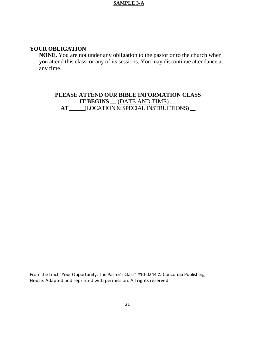### **YOUR OBLIGATION**

**NONE.** You are not under any obligation to the pastor or to the church when you attend this class, or any of its sessions. You may discontinue attendance at any time.

## **PLEASE ATTEND OUR BIBLE INFORMATION CLASS IT BEGINS** \_\_ <u>(DATE AND TIME)</u> **AT \_\_\_**(LOCATION & SPECIAL INSTRUCTIONS) **\_\_**

From the tract "Your Opportunity: The Pastor's Class" #10-0244 © Concordia Publishing House. Adapted and reprinted with permission. All rights reserved.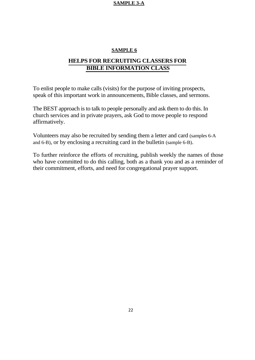#### **SAMPLE 6**

## **HELPS FOR RECRUITING CLASSERS FOR BIBLE INFORMATION CLASS**

To enlist people to make calls (visits) for the purpose of inviting prospects, speak of this important work in announcements, Bible classes, and sermons.

The BEST approach is to talk to people personally and ask them to do this. In church services and in private prayers, ask God to move people to respond affirmatively.

Volunteers may also be recruited by sending them a letter and card (samples 6-A and 6-B), or by enclosing a recruiting card in the bulletin (sample 6-B).

To further reinforce the efforts of recruiting, publish weekly the names of those who have committed to do this calling, both as a thank you and as a reminder of their commitment, efforts, and need for congregational prayer support.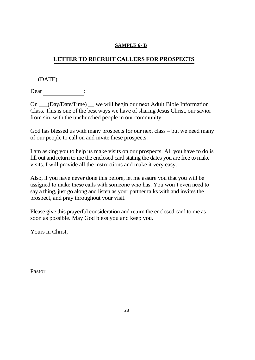## **LETTER TO RECRUIT CALLERS FOR PROSPECTS**

## (DATE)

Dear

On \_\_\_(Day/Date/Time) \_\_ we will begin our next Adult Bible Information Class. This is one of the best ways we have of sharing Jesus Christ, our savior from sin, with the unchurched people in our community.

God has blessed us with many prospects for our next class – but we need many of our people to call on and invite these prospects.

I am asking you to help us make visits on our prospects. All you have to do is fill out and return to me the enclosed card stating the dates you are free to make visits. I will provide all the instructions and make it very easy.

Also, if you nave never done this before, let me assure you that you will be assigned to make these calls with someone who has. You won't even need to say a thing, just go along and listen as your partner talks with and invites the prospect, and pray throughout your visit.

Please give this prayerful consideration and return the enclosed card to me as soon as possible. May God bless you and keep you.

Yours in Christ,

| Pastor |
|--------|
|        |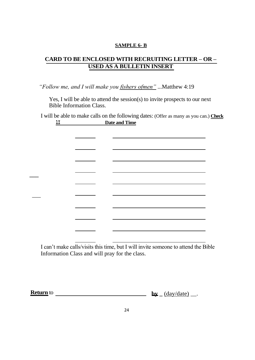## **CARD TO BE ENCLOSED WITH RECRUITING LETTER – OR – USED AS A BULLETIN INSERT**

*"Follow me, and I will make you fishers ofmen"* ...Matthew 4:19

**\_\_\_**

 $\overline{\phantom{a}}$ 

Yes, I will be able to attend the session(s) to invite prospects to our next Bible Information Class.

I will be able to make calls on the following dates: (Offer as many as you can.) **Check lI Date and Time** 

<u> a serie de la p</u> I can't make calls/visits this time, but I will invite someone to attend the Bible

Information Class and will pray for the class.

**Return by \_** (day/date) \_\_. to

24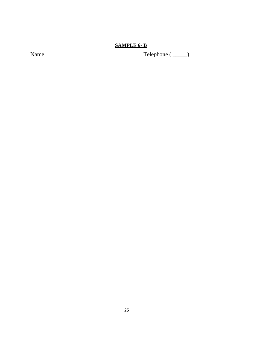Name Telephone ( \_\_\_\_\_)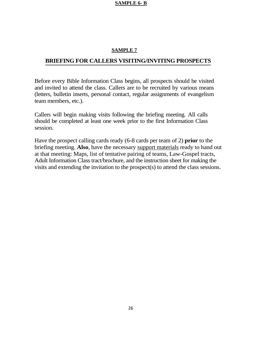#### **SAMPLE 7**

#### **BRIEFING FOR CALLERS VISITING/INVITING PROSPECTS**

Before every Bible Information Class begins, all prospects should be visited and invited to attend the class. Callers are to be recruited by various means (letters, bulletin inserts, personal contact, regular assignments of evangelism team members, etc.).

Callers will begin making visits following the briefing meeting. All calls should be completed at least one week prior to the first Information Class session.

Have the prospect calling cards ready (6-8 cards per team of 2) **prior** to the briefing meeting. **Also**, have the necessary support materials ready to hand out at that meeting: Maps, list of tentative pairing of teams, Law-Gospel tracts, Adult Information Class tract/brochure, and the instruction sheet for making the visits and extending the invitation to the prospect(s) to attend the class sessions.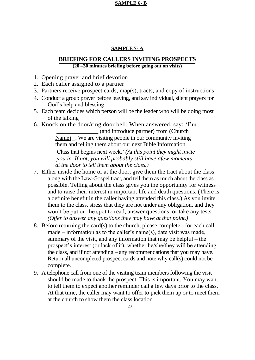#### **SAMPLE 7- A**

#### **BRIEFING FOR CALLERS INVITING PROSPECTS (20 –30 minutes briefing before going out on visits)**

- 1. Opening prayer and brief devotion
- 2. Each caller assigned to a partner
- 3. Partners receive prospect cards, map(s), tracts, and copy of instructions
- 4. Conduct a group prayer before leaving, and say individual, silent prayers for God's help and blessing
- 5. Each team decides which person will be the leader who will be doing most of the talking
- 6. Knock on the door/ring door bell. When answered, say: ‗I'm

\_\_\_\_\_\_\_\_\_\_\_\_\_\_ (and introduce partner) from (Church Name) We are visiting people in our community inviting them and telling them about our next Bible Information Class that begins next week.' *(At this point they might invite you in. If not, you will probably still have afew moments at the door to tell them about the class.)*

- 7. Either inside the home or at the door, give them the tract about the class along with the Law-Gospel tract, and tell them as much about the class as possible. Telling about the class gives you the opportunity for witness and to raise their interest in important life and death questions. (There is a definite benefit in the caller having attended this class.) As you invite them to the class, stress that they are not under any obligation, and they won't be put on the spot to read, answer questions, or take any tests. *(Offer to answer any questions they may have at that point.)*
- 8. Before returning the card(s) to the church, please complete for each call made – information as to the caller's name(s), date visit was made, summary of the visit, and any information that may be helpful – the prospect's interest (or lack of it), whether he/she/they will be attending the class, and if not attending – any recommendations that you may have. Return all uncompleted prospect cards and note why call(s) could not be complete.
- 9. A telephone call from one of the visiting team members following the visit should be made to thank the prospect. This is important. You may want to tell them to expect another reminder call a few days prior to the class. At that time, the caller may want to offer to pick them up or to meet them at the church to show them the class location.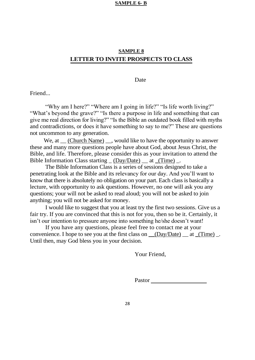## **SAMPLE 8 LETTER TO INVITE PROSPECTS TO CLASS**

#### Date

Friend...

"Why am I here?" "Where am I going in life?" "Is life worth living?" "What's beyond the grave?" "Is there a purpose in life and something that can give me real direction for living?" "Is the Bible an outdated book filled with myths and contradictions, or does it have something to say to me?" These are questions not uncommon to any generation.

We, at  $\underline{\hspace{1cm}}$  (Church Name)  $\underline{\hspace{1cm}}$ , would like to have the opportunity to answer these and many more questions people have about God, about Jesus Christ, the Bible, and life. Therefore, please consider this as your invitation to attend the Bible Information Class starting  $\underline{\hspace{1cm}}$  (Day/Date)  $\underline{\hspace{1cm}}$  at  $\underline{\hspace{1cm}}$  (Time)  $\underline{\hspace{1cm}}$ .

The Bible Information Class is a series of sessions designed to take a penetrating look at the Bible and its relevancy for our day. And you'll want to know that there is absolutely no obligation on your part. Each class is basically a lecture, with opportunity to ask questions. However, no one will ask you any questions; your will not be asked to read aloud; you will not be asked to join anything; you will not be asked for money.

I would like to suggest that you at least try the first two sessions. Give us a fair try. If you are convinced that this is not for you, then so be it. Certainly, it isn't our intention to pressure anyone into something he/she doesn't want!

If you have any questions, please feel free to contact me at your convenience. I hope to see you at the first class on  $\_\_$ (Day/Date)  $\_\_$  at  $\_\$ (Time)  $\_\_$ . Until then, may God bless you in your decision.

Your Friend,

Pastor Pastor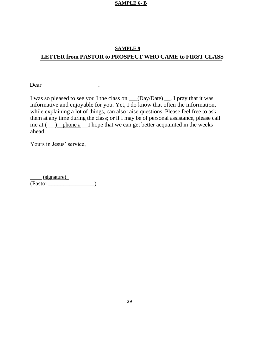## **SAMPLE 9 LETTER from PASTOR to PROSPECT WHO CAME to FIRST CLASS**

Dear  $\sum_{n=1}^{\infty}$ 

I was so pleased to see you I the class on \_\_\_(Day/Date) \_\_. I pray that it was informative and enjoyable for you. Yet,  $\overline{I}$  do know that often the information, while explaining a lot of things, can also raise questions. Please feel free to ask them at any time during the class; or if I may be of personal assistance, please call me at  $(\_\_)$  phone  $\frac{\#}{\#}$  I hope that we can get better acquainted in the weeks ahead.

Yours in Jesus' service,

 $\equiv$  (signature) (Pastor \_\_\_\_\_\_\_\_\_\_\_\_\_\_\_)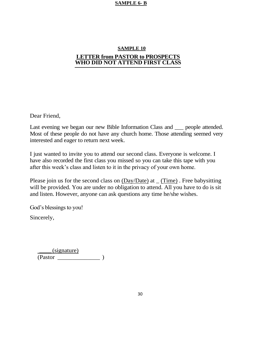## **SAMPLE 10 LETTER from PASTOR to PROSPECTS WHO DID NOT ATTEND FIRST CLASS**

Dear Friend,

Last evening we began our new Bible Information Class and \_\_\_ people attended. Most of these people do not have any church home. Those attending seemed very interested and eager to return next week.

I just wanted to invite you to attend our second class. Everyone is welcome. I have also recorded the first class you missed so you can take this tape with you after this week's class and listen to it in the privacy of your own home.

Please join us for the second class on  $(Day/Date)$  at  $(Time)$ . Free babysitting will be provided. You are under no obligation to attend. All you have to do is sit and listen. However, anyone can ask questions any time he/she wishes.

God's blessings to you!

Sincerely,

 $\angle$  (signature)  $\overbrace{\text{(Pastor)}}$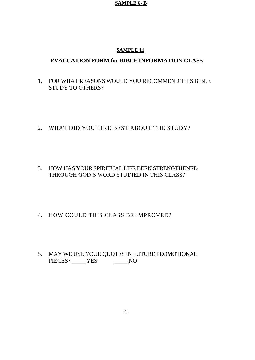#### **SAMPLE 11**

## **EVALUATION FORM for BIBLE INFORMATION CLASS**

- 1. FOR WHAT REASONS WOULD YOU RECOMMEND THIS BIBLE STUDY TO OTHERS?
- 2. WHAT DID YOU LIKE BEST ABOUT THE STUDY?
- 3. HOW HAS YOUR SPIRITUAL LIFE BEEN STRENGTHENED THROUGH GOD'S WORD STUDIED IN THIS CLASS?
- 4. HOW COULD THIS CLASS BE IMPROVED?
- 5. MAY WE USE YOUR QUOTES IN FUTURE PROMOTIONAL PIECES? \_\_\_\_\_\_YES \_\_\_\_\_\_\_\_NO